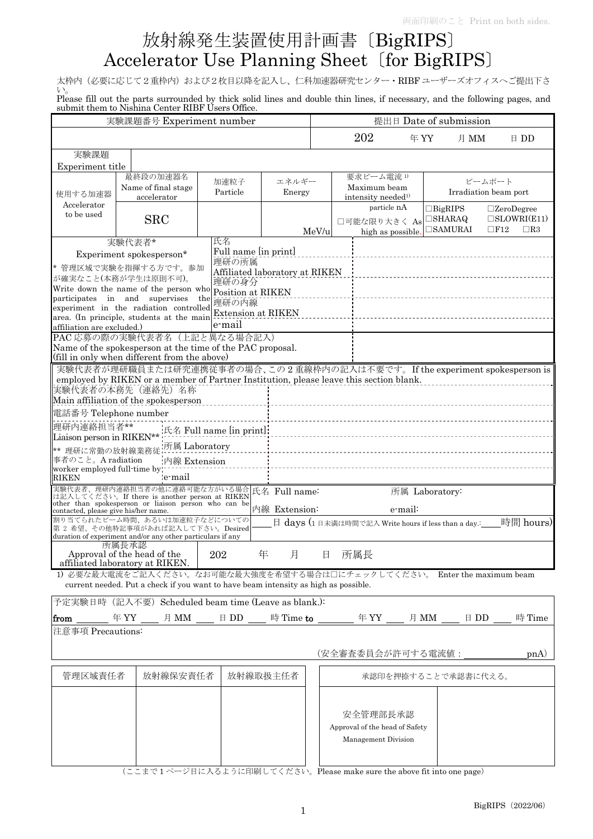## 放射線発生装置使用計画書〔BigRIPS〕 Accelerator Use Planning Sheet〔for BigRIPS〕

太枠内(必要に応じて2重枠内)および2枚目以降を記入し、仁科加速器研究センター·RIBF ユーザーズオフィスへご提出下さ い。

Please fill out the parts surrounded by thick solid lines and double thin lines, if necessary, and the following pages, and submit them to Nishina Center RIBF Users Office.

| $\alpha$ , $\alpha$ , $\alpha$ , $\alpha$ , $\alpha$ , $\alpha$ , $\alpha$ , $\alpha$ , $\alpha$ , $\alpha$ , $\alpha$ , $\alpha$ , $\alpha$ , $\alpha$ , $\alpha$<br>実験課題番号 Experiment number |                                                                                                           |                          |                                | 提出日 Date of submission |                                                         |                |                     |                          |
|------------------------------------------------------------------------------------------------------------------------------------------------------------------------------------------------|-----------------------------------------------------------------------------------------------------------|--------------------------|--------------------------------|------------------------|---------------------------------------------------------|----------------|---------------------|--------------------------|
|                                                                                                                                                                                                |                                                                                                           |                          |                                |                        | 202                                                     | 年 YY           | 月 MM                | $E$ DD                   |
| 実験課題                                                                                                                                                                                           |                                                                                                           |                          |                                |                        |                                                         |                |                     |                          |
| Experiment title                                                                                                                                                                               |                                                                                                           |                          |                                |                        |                                                         |                |                     |                          |
|                                                                                                                                                                                                | 最終段の加速器名                                                                                                  | 加速粒子                     | エネルギー                          |                        | 要求ビーム電流1)                                               |                |                     | ビームポート                   |
| 使用する加速器                                                                                                                                                                                        | Name of final stage                                                                                       | Particle                 | Energy                         |                        | Maximum beam                                            |                |                     | Irradiation beam port    |
| Accelerator                                                                                                                                                                                    | accelerator                                                                                               |                          |                                |                        | intensity needed <sup>1)</sup><br>particle nA           |                | $\Box$ BigRIPS      | $\square$ ZeroDegree     |
| to be used                                                                                                                                                                                     | <b>SRC</b>                                                                                                |                          |                                |                        |                                                         |                | $\Box$ SHARAQ       | $\square$ SLOWRI $(E11)$ |
|                                                                                                                                                                                                |                                                                                                           |                          |                                | MeV/u                  | □可能な限り大きく As<br>high as possible.                       |                | $\square$ SAMURAI   | $\Box$ F12<br>$\Box$ R3  |
|                                                                                                                                                                                                | 実験代表者*                                                                                                    | 氏名                       |                                |                        |                                                         |                |                     |                          |
|                                                                                                                                                                                                | Experiment spokesperson*                                                                                  | Full name [in print]     |                                |                        |                                                         |                |                     |                          |
|                                                                                                                                                                                                | * 管理区域で実験を指揮する方です。参加                                                                                      | 理研の所属                    |                                |                        |                                                         |                |                     |                          |
|                                                                                                                                                                                                | が確実なこと(本務が学生は原則不可)。                                                                                       | 理研の身分                    | Affiliated laboratory at RIKEN |                        |                                                         |                |                     |                          |
|                                                                                                                                                                                                | Write down the name of the person who Position at RIKEN                                                   |                          |                                |                        |                                                         |                |                     |                          |
|                                                                                                                                                                                                | participates in and supervises<br>experiment in the radiation controlled                                  | the 理研の内線                |                                |                        |                                                         |                |                     |                          |
|                                                                                                                                                                                                | area. (In principle, students at the main                                                                 | Extension at RIKEN       |                                |                        |                                                         |                |                     |                          |
| affiliation are excluded.)                                                                                                                                                                     |                                                                                                           | e-mail                   |                                |                        |                                                         |                |                     |                          |
|                                                                                                                                                                                                | PAC 応募の際の実験代表者名(上記と異なる場合記入)                                                                               |                          |                                |                        |                                                         |                |                     |                          |
|                                                                                                                                                                                                | Name of the spokesperson at the time of the PAC proposal.<br>(fill in only when different from the above) |                          |                                |                        |                                                         |                |                     |                          |
|                                                                                                                                                                                                | 実験代表者が理研職員または研究連携従事者の場合、この2重線枠内の記入は不要です。If the experiment spokesperson is                                 |                          |                                |                        |                                                         |                |                     |                          |
|                                                                                                                                                                                                | employed by RIKEN or a member of Partner Institution, please leave this section blank.                    |                          |                                |                        |                                                         |                |                     |                          |
|                                                                                                                                                                                                | 実験代表者の本務先 (連絡先) 名称                                                                                        |                          |                                |                        |                                                         |                |                     |                          |
|                                                                                                                                                                                                | Main affiliation of the spokesperson                                                                      |                          |                                |                        |                                                         |                |                     |                          |
| 電話番号 Telephone number                                                                                                                                                                          |                                                                                                           |                          |                                |                        |                                                         |                |                     |                          |
| 理研内連絡担当者**                                                                                                                                                                                     |                                                                                                           | 氏名 Full name [in print]: |                                |                        |                                                         |                |                     |                          |
| Liaison person in RIKEN**                                                                                                                                                                      |                                                                                                           |                          |                                |                        |                                                         |                |                     |                          |
| ** 理研に常勤の放射線業務従                                                                                                                                                                                | 所属 Laboratory                                                                                             |                          |                                |                        |                                                         |                |                     |                          |
| 事者のこと。A radiation<br>worker employed full-time by                                                                                                                                              | 内線 Extension                                                                                              |                          |                                |                        |                                                         |                |                     |                          |
| RIKEN                                                                                                                                                                                          | e-mail                                                                                                    |                          |                                |                        |                                                         |                |                     |                          |
|                                                                                                                                                                                                | 実験代表者、理研内連絡担当者の他に連絡可能な方がいる場合 氏名 Full name:<br>は記入してください。If there is another person at RIKEN 氏名 Full name: |                          |                                |                        |                                                         | 所属 Laboratory: |                     |                          |
|                                                                                                                                                                                                | other than spokesperson or liaison person who can be                                                      |                          |                                |                        |                                                         |                |                     |                          |
| contacted, please give his/her name.                                                                                                                                                           | 割り当てられたビーム時間、あるいは加速粒子などについての                                                                              |                          | 内線 Extension:                  |                        |                                                         | e-mail:        |                     |                          |
|                                                                                                                                                                                                | 第2希望、その他特記事項があれば記入して下さい。Desired                                                                           |                          |                                |                        | 日 days (1日未満は時間で記入 Write hours if less than a day.: ___ |                |                     | 時間 hours)                |
|                                                                                                                                                                                                | duration of experiment and/or any other particulars if any                                                |                          |                                |                        |                                                         |                |                     |                          |
|                                                                                                                                                                                                | 所属長承認<br>Approval of the head of the                                                                      | 202                      | 年<br>月                         | 日                      | 所属長                                                     |                |                     |                          |
|                                                                                                                                                                                                | affiliated laboratory at RIKEN.                                                                           |                          |                                |                        |                                                         |                |                     |                          |
|                                                                                                                                                                                                | 1) 必要な最大電流をご記入ください。なお可能な最大強度を希望する場合は口にチェックしてください。 Enter the maximum beam                                  |                          |                                |                        |                                                         |                |                     |                          |
|                                                                                                                                                                                                | current needed. Put a check if you want to have beam intensity as high as possible.                       |                          |                                |                        |                                                         |                |                     |                          |
|                                                                                                                                                                                                | 予定実験日時 (記入不要) Scheduled beam time (Leave as blank.):                                                      |                          |                                |                        |                                                         |                |                     |                          |
|                                                                                                                                                                                                | <b>from ______</b> 年YY ____ 月 MM ____ 日 DD ____ 時 Time <b>to</b> _______ 年 YY ____ 月 MM ____ 日 DD ___     |                          |                                |                        |                                                         |                |                     | 時 Time                   |
| 注意事項 Precautions:                                                                                                                                                                              |                                                                                                           |                          |                                |                        |                                                         |                |                     |                          |
|                                                                                                                                                                                                |                                                                                                           |                          |                                |                        |                                                         |                |                     |                          |
|                                                                                                                                                                                                |                                                                                                           |                          |                                |                        | (安全審査委員会が許可する電流値:                                       |                |                     | p <sub>n</sub> (A)       |
|                                                                                                                                                                                                |                                                                                                           |                          |                                |                        |                                                         |                |                     |                          |
| 管理区域責任者                                                                                                                                                                                        | 放射線保安責任者                                                                                                  |                          | 放射線取扱主任者                       |                        |                                                         |                | 承認印を押捺することで承認書に代える。 |                          |
|                                                                                                                                                                                                |                                                                                                           |                          |                                |                        |                                                         |                |                     |                          |
|                                                                                                                                                                                                |                                                                                                           |                          |                                |                        |                                                         |                |                     |                          |
|                                                                                                                                                                                                |                                                                                                           |                          |                                |                        | 安全管理部長承認                                                |                |                     |                          |
|                                                                                                                                                                                                |                                                                                                           |                          |                                |                        | Approval of the head of Safety                          |                |                     |                          |
|                                                                                                                                                                                                |                                                                                                           |                          |                                |                        | Management Division                                     |                |                     |                          |
|                                                                                                                                                                                                |                                                                                                           |                          |                                |                        |                                                         |                |                     |                          |
|                                                                                                                                                                                                |                                                                                                           |                          |                                |                        |                                                         |                |                     |                          |

(ここまで 1 ページ目に入るように印刷してください。Please make sure the above fit into one page)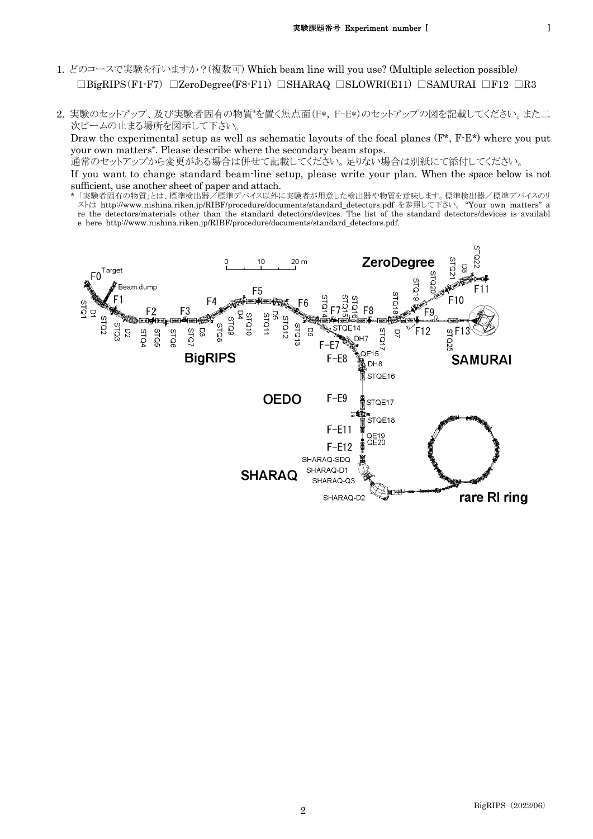- 1. どのコースで実験を行いますか?(複数可) Which beam line will you use? (Multiple selection possible)  $\Box$ BigRIPS(F1-F7)  $\Box$ ZeroDegree(F8-F11)  $\Box$ SHARAQ  $\Box$ SLOWRI(E11)  $\Box$ SAMURAI  $\Box$ F12  $\Box$ R3
- 2. 実験のセットアップ、及び実験者固有の物質\* を置く焦点面(F\*, F-E\*)のセットアップの図を記載してください。また二 次ビームの止まる場所を図示して下さい。

Draw the experimental setup as well as schematic layouts of the focal planes  $(F^*, F^E^*)$  where you put your own matters\*. Please describe where the secondary beam stops.

通常のセットアップから変更がある場合は併せて記載してください。足りない場合は別紙にて添付してください。

If you want to change standard beam-line setup, please write your plan. When the space below is not sufficient, use another sheet of paper and attach.

\* 「実験者固有の物質」とは、標準検出器/標準デバイス以外に実験者が用意した検出器や物質を意味します。標準検出器/標準デバイスのリ ストは http://www.nishina.riken.jp/RIBF/procedure/documents/standard\_detectors.pdf を参照して下さい。 "Your own matters" a re the detectors/materials other than the standard detectors/devices. The list of the standard detectors/devices is availabl e here http://www.nishina.riken.jp/RIBF/procedure/documents/standard\_detectors.pdf.

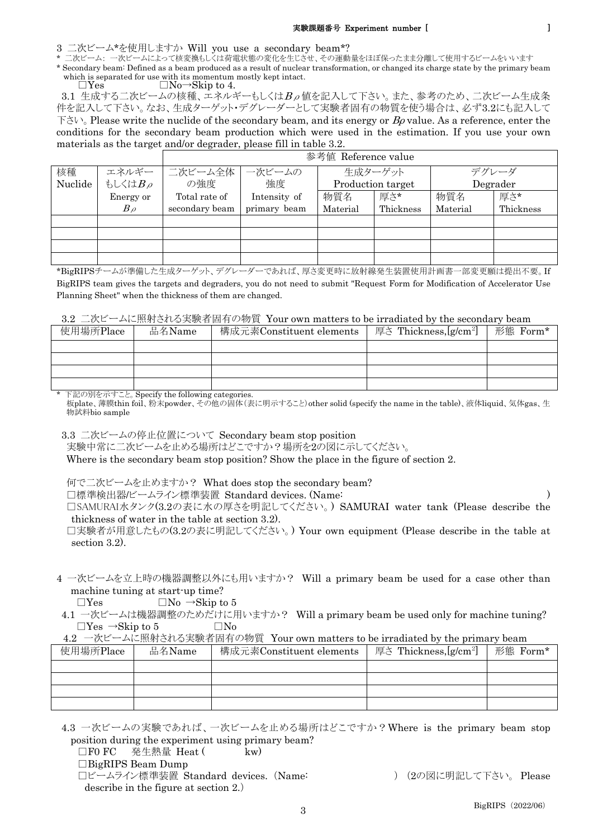3 二次ビーム\*を使用しますか Will you use a secondary beam\*?

二次ビーム: 一次ビームによって核変換もしくは荷電状態の変化を生じさせ、その運動量をほぼ保ったまま分離して使用するビームをいいます

\* Secondary beam: Defined as a beam produced as a result of nuclear transformation, or changed its charge state by the primary beam which is separated for use with its momentum mostly kept intact.

 $\Box$ Yes  $\Box$ No→Skip to 4.

3.1 生成する二次ビームの核種、エネルギーもしくは $B_\rho$ 値を記入して下さい。また、参考のため、二次ビーム生成条 件を記入して下さい。なお、生成ターゲット・デグレーダーとして実験者固有の物質を使う場合は、必ず3.2にも記入して  $\Gamma \geq V$ , Please write the nuclide of the secondary beam, and its energy or  $B\rho$  value. As a reference, enter the conditions for the secondary beam production which were used in the estimation. If you use your own materials as the target and/or degrader, please fill in table 3.2.

|         |           | 参考値 Reference value |              |                   |           |          |           |
|---------|-----------|---------------------|--------------|-------------------|-----------|----------|-----------|
| 核種      | エネルギー     | 二次ビーム全体             | 一次ビームの       | 生成ターゲット           |           | デグレーダ    |           |
| Nuclide | もしくはBρ    | の強度                 | 強度           | Production target |           | Degrader |           |
|         | Energy or | Total rate of       | Intensity of | 物質名               | 厚さ*       | 物質名      | 厚さ*       |
|         | $B\rho$   | secondary beam      | primary beam | Material          | Thickness | Material | Thickness |
|         |           |                     |              |                   |           |          |           |
|         |           |                     |              |                   |           |          |           |
|         |           |                     |              |                   |           |          |           |
|         |           |                     |              |                   |           |          |           |

\*BigRIPSチームが準備した生成ターゲット、デグレーダーであれば、厚さ変更時に放射線発生装置使用計画書一部変更願は提出不要。If BigRIPS team gives the targets and degraders, you do not need to submit "Request Form for Modification of Accelerator Use Planning Sheet" when the thickness of them are changed.

| 3.2 二次ビームに照射される実験者固有の物質 Your own matters to be irradiated by the secondary beam |  |  |
|---------------------------------------------------------------------------------|--|--|
|---------------------------------------------------------------------------------|--|--|

| 使用場所Place<br>品名Name |  | 構成元素Constituent elements | 厚さ Thickness,[g/cm <sup>2</sup> ] | 形態 Form* |  |
|---------------------|--|--------------------------|-----------------------------------|----------|--|
|                     |  |                          |                                   |          |  |
|                     |  |                          |                                   |          |  |
|                     |  |                          |                                   |          |  |
|                     |  |                          |                                   |          |  |

\* 下記の別を示すこと。Specify the following categories.

板plate、薄膜thin foil、粉末powder、その他の固体(表に明示すること)other solid (specify the name in the table)、液体liquid、気体gas、生 物試料bio sample

3.3 二次ビームの停止位置について Secondary beam stop position

実験中常に二次ビームを止める場所はどこですか?場所を2の図に示してください。

Where is the secondary beam stop position? Show the place in the figure of section 2.

何で二次ビームを止めますか? What does stop the secondary beam?

□標準検出器/ビームライン標準装置 Standard devices. (Name: )

□SAMURAI水タンク(3.2の表に水の厚さを明記してください。) SAMURAI water tank (Please describe the thickness of water in the table at section 3.2).

□実験者が用意したもの(3.2の表に明記してください。) Your own equipment (Please describe in the table at section 3.2).

4 一次ビームを立上時の機器調整以外にも用いますか? Will a primary beam be used for a case other than machine tuning at start-up time?

 $\Box$ Yes  $\Box$ No  $\rightarrow$ Skip to 5

4.1 一次ビームは機器調整のためだけに用いますか? Will a primary beam be used only for machine tuning?  $\Box$ Yes  $\rightarrow$ Skip to 5  $\Box$ No

4.2 一次ビームに照射される実験者固有の物質 Your own matters to be irradiated by the primary beam

| $\mathcal{L}$<br>~~~~~~ |        |                          |                                   |          |  |
|-------------------------|--------|--------------------------|-----------------------------------|----------|--|
| 使用場所Place               | 品名Name | 構成元素Constituent elements | 厚さ Thickness,[g/cm <sup>2</sup> ] | 形態 Form* |  |
|                         |        |                          |                                   |          |  |
|                         |        |                          |                                   |          |  |
|                         |        |                          |                                   |          |  |
|                         |        |                          |                                   |          |  |

4.3 一次ビームの実験であれば、一次ビームを止める場所はどこですか?Where is the primary beam stop position during the experiment using primary beam?

□F0 FC 発生熱量 Heat (  $k$ w)

□BigRIPS Beam Dump

□ビームライン標準装置 Standard devices. (Name: ) (2の図に明記して下さい。 Please describe in the figure at section 2.)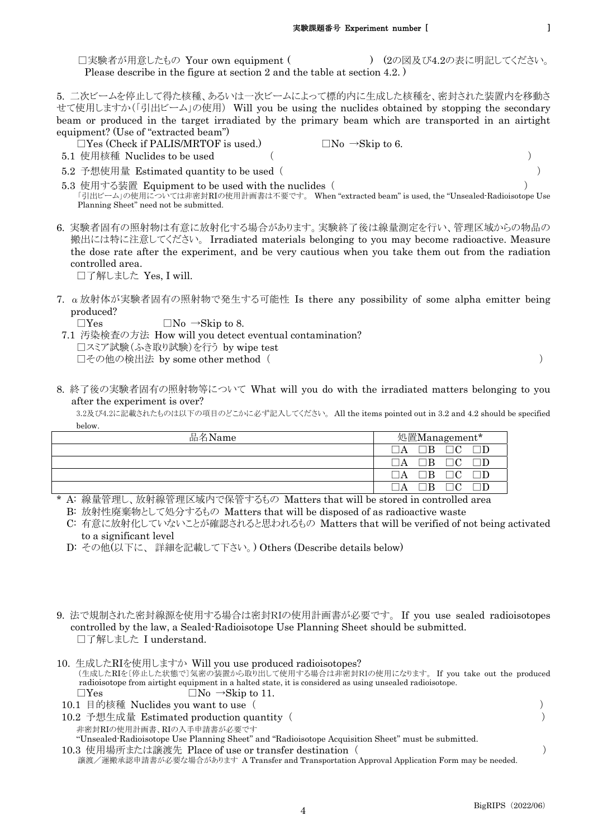5. 二次ビームを停止して得た核種、あるいは一次ビームによって標的内に生成した核種を、密封された装置内を移動さ せて使用しますか(「引出ビーム」の使用) Will you be using the nuclides obtained by stopping the secondary beam or produced in the target irradiated by the primary beam which are transported in an airtight equipment? (Use of "extracted beam")

 $\Box$ Yes (Check if PALIS/MRTOF is used.)  $\Box$ No  $\rightarrow$ Skip to 6. 5.1 使用核種 Nuclides to be used ( )

- 
- 5.2 予想使用量 Estimated quantity to be used ( )

 5.3 使用する装置 Equipment to be used with the nuclides ( ) 「引出ビーム」の使用については非密封RIの使用計画書は不要です。 When "extracted beam" is used, the "Unsealed-Radioisotope Use Planning Sheet" need not be submitted.

6. 実験者固有の照射物は有意に放射化する場合があります。実験終了後は線量測定を行い、管理区域からの物品の 搬出には特に注意してください。 Irradiated materials belonging to you may become radioactive. Measure the dose rate after the experiment, and be very cautious when you take them out from the radiation controlled area.

□了解しました Yes, I will.

7. α放射体が実験者固有の照射物で発生する可能性 Is there any possibility of some alpha emitter being produced?

 $\Box$ Yes  $\Box$ No  $\rightarrow$ Skip to 8.

 7.1 汚染検査の方法 How will you detect eventual contamination? □スミア試験(ふき取り試験)を行う by wipe test □その他の検出法 by some other method ( )

8. 終了後の実験者固有の照射物等について What will you do with the irradiated matters belonging to you after the experiment is over?

3.2及び4.2に記載されたものは以下の項目のどこかに必ず記入してください。 All the items pointed out in 3.2 and 4.2 should be specified below.

| 品名Name | 処置Management* |
|--------|---------------|
|        | $\mathbf A$   |
|        |               |
|        | $\Delta$      |
|        |               |

\* A: 線量管理し、放射線管理区域内で保管するもの Matters that will be stored in controlled area

B: 放射性廃棄物として処分するもの Matters that will be disposed of as radioactive waste

 C: 有意に放射化していないことが確認されると思われるもの Matters that will be verified of not being activated to a significant level

- D: その他(以下に、 詳細を記載して下さい。) Others (Describe details below)
- 9. 法で規制された密封線源を使用する場合は密封RIの使用計画書が必要です。 If you use sealed radioisotopes controlled by the law, a Sealed-Radioisotope Use Planning Sheet should be submitted. □了解しました I understand.
- 10. 生成したRIを使用しますか Will you use produced radioisotopes? (生成したRIを〔停止した状態で〕気密の装置から取り出して使用する場合は非密封RIの使用になります。 If you take out the produced radioisotope from airtight equipment in a halted state, it is considered as using unsealed radioisotope.  $\Box$ Yes  $\Box$ No  $\rightarrow$ Skip to 11.
- 10.1 目的核種 Nuclides you want to use ( ) 10.2 予想生成量 Estimated production quantity ( ) 非密封RIの使用計画書、RIの入手申請書が必要です "Unsealed-Radioisotope Use Planning Sheet" and "Radioisotope Acquisition Sheet" must be submitted. 10.3 使用場所または譲渡先 Place of use or transfer destination ( )

譲渡/運搬承認申請書が必要な場合があります A Transfer and Transportation Approval Application Form may be needed.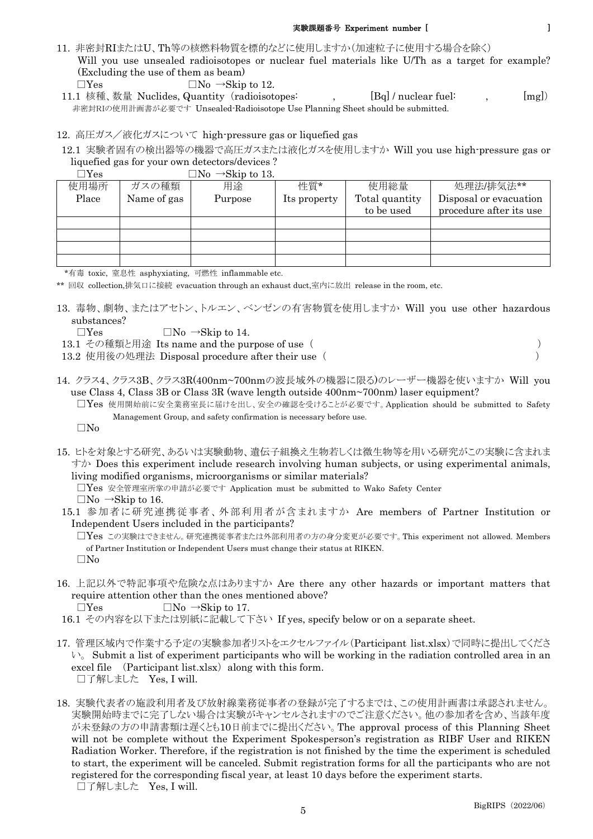## 実験課題番号 Experiment number [ ]

- 11. 非密封RIまたはU、Th等の核燃料物質を標的などに使用しますか(加速粒子に使用する場合を除く) Will you use unsealed radioisotopes or nuclear fuel materials like U/Th as a target for example? (Excluding the use of them as beam)  $\Box$ Yes  $\Box$ No  $\rightarrow$ Skip to 12.
- 11.1 核種、数量 Nuclides, Quantity (radioisotopes: , [Bq] / nuclear fuel: , [mg]) 非密封RIの使用計画書が必要です Unsealed-Radioisotope Use Planning Sheet should be submitted.

## 12. 高圧ガス/液化ガスについて high-pressure gas or liquefied gas

12.1 実験者固有の検出器等の機器で高圧ガスまたは液化ガスを使用しますか Will you use high-pressure gas or liquefied gas for your own detectors/devices ?

| .     |             | ◡<br>$\sim$ DAID to TO. |              |                |                         |
|-------|-------------|-------------------------|--------------|----------------|-------------------------|
| 使用場所  | ガスの種類       | 用途                      | 性質*          | 使用総量           | 処理法/排気法**               |
| Place | Name of gas | Purpose                 | Its property | Total quantity | Disposal or evacuation  |
|       |             |                         |              | to be used     | procedure after its use |
|       |             |                         |              |                |                         |
|       |             |                         |              |                |                         |
|       |             |                         |              |                |                         |
|       |             |                         |              |                |                         |

 $\neg$ Yes  $\neg$ No  $\rightarrow$ Skin to 13.

\*有毒 toxic, 窒息性 asphyxiating, 可燃性 inflammable etc.

\*\* 回収 collection,排気口に接続 evacuation through an exhaust duct,室内に放出 release in the room, etc.

13. 毒物、劇物、またはアセトン、トルエン、ベンゼンの有害物質を使用しますか Will you use other hazardous substances?

 $\Box$ Yes  $\Box$ No  $\rightarrow$ Skip to 14.

- 13.1 その種類と用途 Its name and the purpose of use ( )
- 13.2 使用後の処理法 Disposal procedure after their use ( )
- 14. クラス4、クラス3B、クラス3R(400nm~700nmの波長域外の機器に限る)のレーザー機器を使いますか Will you use Class 4, Class 3B or Class 3R (wave length outside 400nm~700nm) laser equipment?
	- □Yes 使用開始前に安全業務室長に届けを出し、安全の確認を受けることが必要です。Application should be submitted to Safety Management Group, and safety confirmation is necessary before use.

□No

15. ヒトを対象とする研究、あるいは実験動物、遺伝子組換え生物若しくは微生物等を用いる研究がこの実験に含まれま すか Does this experiment include research involving human subjects, or using experimental animals, living modified organisms, microorganisms or similar materials?

□Yes 安全管理室所掌の申請が必要です Application must be submitted to Wako Safety Center  $\Box$ No  $\rightarrow$ Skip to 16.

 15.1 参加者に研究連携従事者、外部利用者が含まれますか Are members of Partner Institution or Independent Users included in the participants?

□Yes この実験はできません。研究連携従事者または外部利用者の方の身分変更が必要です。This experiment not allowed. Members of Partner Institution or Independent Users must change their status at RIKEN. □No

16. 上記以外で特記事項や危険な点はありますか Are there any other hazards or important matters that require attention other than the ones mentioned above?

- 17. 管理区域内で作業する予定の実験参加者リストをエクセルファイル(Participant list.xlsx)で同時に提出してくださ  $\vee$ . Submit a list of experiment participants who will be working in the radiation controlled area in an excel file (Participant list.xlsx) along with this form. □了解しました Yes, I will.
- 18. 実験代表者の施設利用者及び放射線業務従事者の登録が完了するまでは、この使用計画書は承認されません。 実験開始時までに完了しない場合は実験がキャンセルされますのでご注意ください。他の参加者を含め、当該年度 が未登録の方の申請書類は遅くとも10日前までに提出ください。The approval process of this Planning Sheet will not be complete without the Experiment Spokesperson's registration as RIBF User and RIKEN Radiation Worker. Therefore, if the registration is not finished by the time the experiment is scheduled to start, the experiment will be canceled. Submit registration forms for all the participants who are not registered for the corresponding fiscal year, at least 10 days before the experiment starts. □了解しました Yes, I will.

 $\Box$ Yes  $\Box$ No  $\rightarrow$ Skip to 17.

 <sup>16.1</sup> その内容を以下または別紙に記載して下さい If yes, specify below or on a separate sheet.